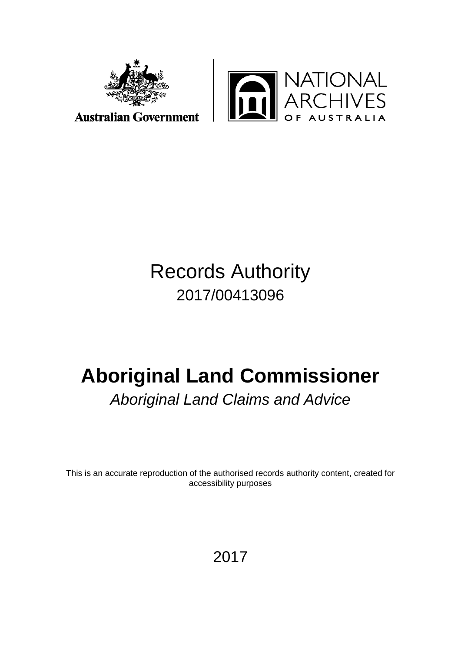



# Records Authority 2017/00413096

# **Aboriginal Land Commissioner**

*Aboriginal Land Claims and Advice*

This is an accurate reproduction of the authorised records authority content, created for accessibility purposes

2017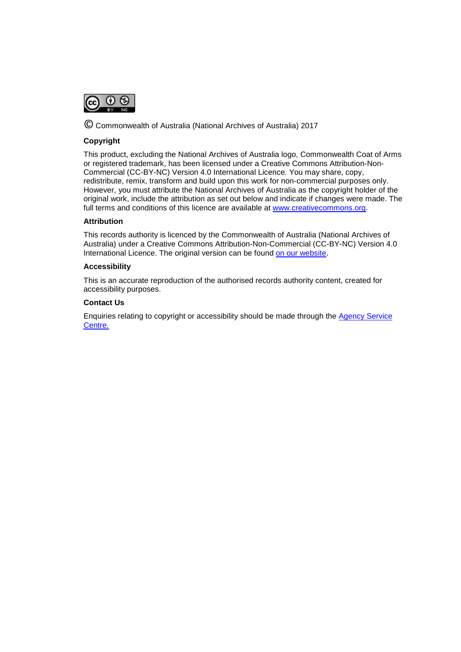

© Commonwealth of Australia (National Archives of Australia) 2017

### **Copyright**

This product, excluding the National Archives of Australia logo, Commonwealth Coat of Arms or registered trademark, has been licensed under a Creative Commons Attribution-Non-Commercial (CC-BY-NC) Version 4.0 International Licence. You may share, copy, redistribute, remix, transform and build upon this work for non-commercial purposes only. However, you must attribute the National Archives of Australia as the copyright holder of the original work, include the attribution as set out below and indicate if changes were made. The full terms and conditions of this licence are available at [www.creativecommons.org.](http://www.creativecommons.org/)

#### **Attribution**

This records authority is licenced by the Commonwealth of Australia (National Archives of Australia) under a Creative Commons Attribution-Non-Commercial (CC-BY-NC) Version 4.0 International Licence. The original version can be found [on our website.](http://www.naa.gov.au/)

#### **Accessibility**

This is an accurate reproduction of the authorised records authority content, created for accessibility purposes.

#### **Contact Us**

Enquiries relating to copyright or accessibility should be made through the [Agency Service](http://reftracker.naa.gov.au/reft000.aspx?pmi=jpGkKEm4vT)  [Centre.](http://reftracker.naa.gov.au/reft000.aspx?pmi=jpGkKEm4vT)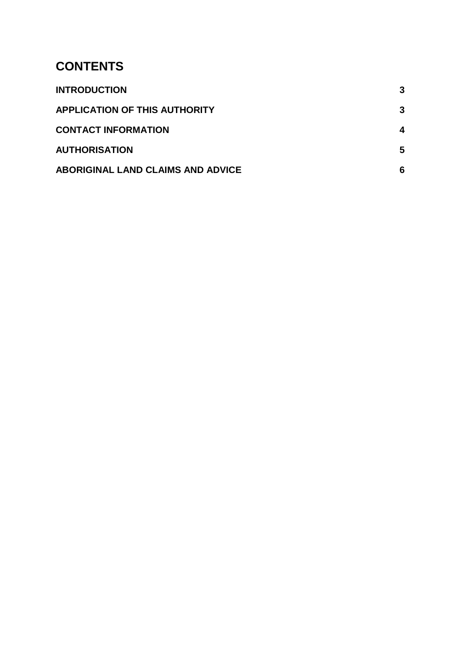## **CONTENTS**

| <b>INTRODUCTION</b>                      |   |
|------------------------------------------|---|
| <b>APPLICATION OF THIS AUTHORITY</b>     | 3 |
| <b>CONTACT INFORMATION</b>               | 4 |
| <b>AUTHORISATION</b>                     | 5 |
| <b>ABORIGINAL LAND CLAIMS AND ADVICE</b> | 6 |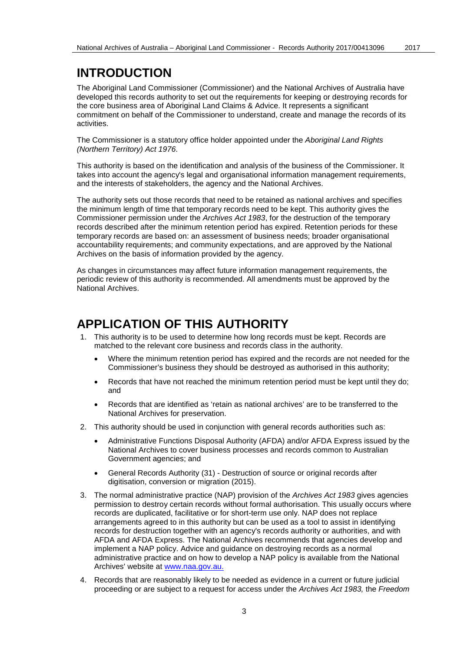## <span id="page-3-0"></span>**INTRODUCTION**

The Aboriginal Land Commissioner (Commissioner) and the National Archives of Australia have developed this records authority to set out the requirements for keeping or destroying records for the core business area of Aboriginal Land Claims & Advice. It represents a significant commitment on behalf of the Commissioner to understand, create and manage the records of its activities.

The Commissioner is a statutory office holder appointed under the *Aboriginal Land Rights (Northern Territory) Act 1976*.

This authority is based on the identification and analysis of the business of the Commissioner. It takes into account the agency's legal and organisational information management requirements, and the interests of stakeholders, the agency and the National Archives.

The authority sets out those records that need to be retained as national archives and specifies the minimum length of time that temporary records need to be kept. This authority gives the Commissioner permission under the *Archives Act 1983*, for the destruction of the temporary records described after the minimum retention period has expired. Retention periods for these temporary records are based on: an assessment of business needs; broader organisational accountability requirements; and community expectations, and are approved by the National Archives on the basis of information provided by the agency.

As changes in circumstances may affect future information management requirements, the periodic review of this authority is recommended. All amendments must be approved by the National Archives.

### <span id="page-3-1"></span>**APPLICATION OF THIS AUTHORITY**

- 1. This authority is to be used to determine how long records must be kept. Records are matched to the relevant core business and records class in the authority.
	- Where the minimum retention period has expired and the records are not needed for the Commissioner's business they should be destroyed as authorised in this authority;
	- Records that have not reached the minimum retention period must be kept until they do; and
	- Records that are identified as 'retain as national archives' are to be transferred to the National Archives for preservation.
- 2. This authority should be used in conjunction with general records authorities such as:
	- Administrative Functions Disposal Authority (AFDA) and/or AFDA Express issued by the National Archives to cover business processes and records common to Australian Government agencies; and
	- General Records Authority (31) Destruction of source or original records after digitisation, conversion or migration (2015).
- 3. The normal administrative practice (NAP) provision of the *Archives Act 1983* gives agencies permission to destroy certain records without formal authorisation. This usually occurs where records are duplicated, facilitative or for short-term use only. NAP does not replace arrangements agreed to in this authority but can be used as a tool to assist in identifying records for destruction together with an agency's records authority or authorities, and with AFDA and AFDA Express. The National Archives recommends that agencies develop and implement a NAP policy. Advice and guidance on destroying records as a normal administrative practice and on how to develop a NAP policy is available from the National Archives' website at [www.naa.gov.au.](http://www.naa.gov.au/)
- 4. Records that are reasonably likely to be needed as evidence in a current or future judicial proceeding or are subject to a request for access under the *Archives Act 1983,* the *Freedom*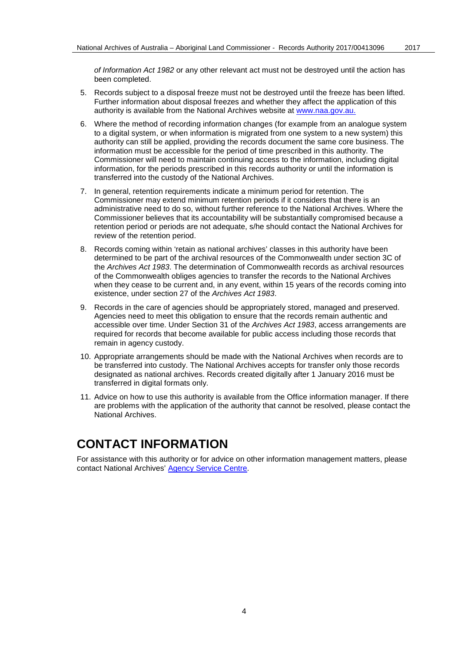*of Information Act 1982* or any other relevant act must not be destroyed until the action has been completed.

- 5. Records subject to a disposal freeze must not be destroyed until the freeze has been lifted. Further information about disposal freezes and whether they affect the application of this authority is available from the National Archives website at [www.naa.gov.au.](http://www.naa.gov.au/)
- 6. Where the method of recording information changes (for example from an analogue system to a digital system, or when information is migrated from one system to a new system) this authority can still be applied, providing the records document the same core business. The information must be accessible for the period of time prescribed in this authority. The Commissioner will need to maintain continuing access to the information, including digital information, for the periods prescribed in this records authority or until the information is transferred into the custody of the National Archives.
- 7. In general, retention requirements indicate a minimum period for retention. The Commissioner may extend minimum retention periods if it considers that there is an administrative need to do so, without further reference to the National Archives. Where the Commissioner believes that its accountability will be substantially compromised because a retention period or periods are not adequate, s/he should contact the National Archives for review of the retention period.
- 8. Records coming within 'retain as national archives' classes in this authority have been determined to be part of the archival resources of the Commonwealth under section 3C of the *Archives Act 1983*. The determination of Commonwealth records as archival resources of the Commonwealth obliges agencies to transfer the records to the National Archives when they cease to be current and, in any event, within 15 years of the records coming into existence, under section 27 of the *Archives Act 1983*.
- 9. Records in the care of agencies should be appropriately stored, managed and preserved. Agencies need to meet this obligation to ensure that the records remain authentic and accessible over time. Under Section 31 of the *Archives Act 1983*, access arrangements are required for records that become available for public access including those records that remain in agency custody.
- 10. Appropriate arrangements should be made with the National Archives when records are to be transferred into custody. The National Archives accepts for transfer only those records designated as national archives. Records created digitally after 1 January 2016 must be transferred in digital formats only.
- 11. Advice on how to use this authority is available from the Office information manager. If there are problems with the application of the authority that cannot be resolved, please contact the National Archives.

## <span id="page-4-0"></span>**CONTACT INFORMATION**

For assistance with this authority or for advice on other information management matters, please contact National Archives' [Agency Service Centre.](http://reftracker.naa.gov.au/reft000.aspx?pmi=jpGkKEm4vT)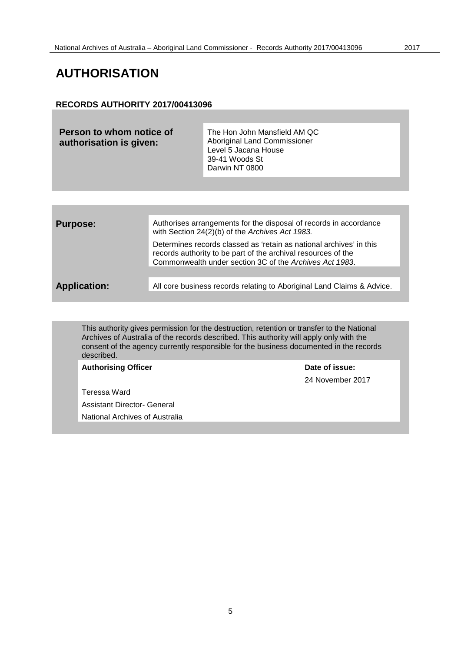## <span id="page-5-0"></span>**AUTHORISATION**

#### **RECORDS AUTHORITY 2017/00413096**

| Person to whom notice of<br>authorisation is given: | The Hon John Mansfield AM QC<br>Aboriginal Land Commissioner<br>Level 5 Jacana House<br>39-41 Woods St<br>Darwin NT 0800 |
|-----------------------------------------------------|--------------------------------------------------------------------------------------------------------------------------|
|                                                     |                                                                                                                          |

| <b>Purpose:</b>     | Authorises arrangements for the disposal of records in accordance<br>with Section 24(2)(b) of the Archives Act 1983.                                                                            |
|---------------------|-------------------------------------------------------------------------------------------------------------------------------------------------------------------------------------------------|
|                     | Determines records classed as 'retain as national archives' in this<br>records authority to be part of the archival resources of the<br>Commonwealth under section 3C of the Archives Act 1983. |
|                     |                                                                                                                                                                                                 |
| <b>Application:</b> | All core business records relating to Aboriginal Land Claims & Advice.                                                                                                                          |

This authority gives permission for the destruction, retention or transfer to the National Archives of Australia of the records described. This authority will apply only with the consent of the agency currently responsible for the business documented in the records described.

Authorising Officer **Contract Contract Contract Contract Contract Contract Contract Contract Contract Contract Contract Contract Contract Contract Contract Contract Contract Contract Contract Contract Contract Contract Con** 

24 November 2017

Teressa Ward Assistant Director- General National Archives of Australia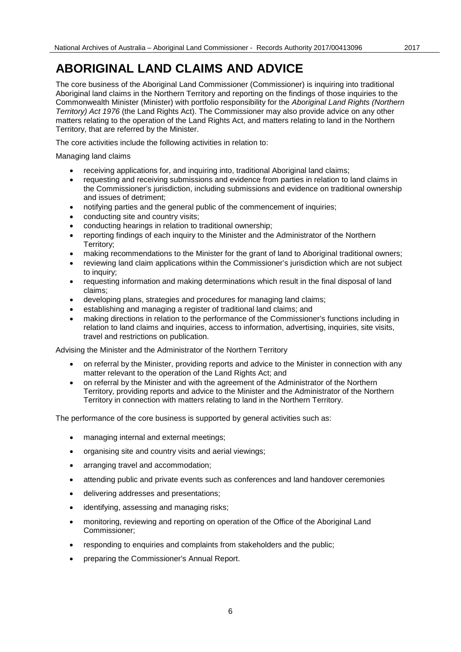## <span id="page-6-0"></span>**ABORIGINAL LAND CLAIMS AND ADVICE**

The core business of the Aboriginal Land Commissioner (Commissioner) is inquiring into traditional Aboriginal land claims in the Northern Territory and reporting on the findings of those inquiries to the Commonwealth Minister (Minister) with portfolio responsibility for the *Aboriginal Land Rights (Northern Territory) Act 1976* (the Land Rights Act). The Commissioner may also provide advice on any other matters relating to the operation of the Land Rights Act, and matters relating to land in the Northern Territory, that are referred by the Minister.

The core activities include the following activities in relation to:

Managing land claims

- receiving applications for, and inquiring into, traditional Aboriginal land claims;
- requesting and receiving submissions and evidence from parties in relation to land claims in the Commissioner's jurisdiction, including submissions and evidence on traditional ownership and issues of detriment;
- notifying parties and the general public of the commencement of inquiries;
- conducting site and country visits;
- conducting hearings in relation to traditional ownership;
- reporting findings of each inquiry to the Minister and the Administrator of the Northern Territory;
- making recommendations to the Minister for the grant of land to Aboriginal traditional owners;
- reviewing land claim applications within the Commissioner's jurisdiction which are not subject to inquiry;
- requesting information and making determinations which result in the final disposal of land claims;
- developing plans, strategies and procedures for managing land claims;
- establishing and managing a register of traditional land claims; and
- making directions in relation to the performance of the Commissioner's functions including in relation to land claims and inquiries, access to information, advertising, inquiries, site visits, travel and restrictions on publication.

Advising the Minister and the Administrator of the Northern Territory

- on referral by the Minister, providing reports and advice to the Minister in connection with any matter relevant to the operation of the Land Rights Act; and
- on referral by the Minister and with the agreement of the Administrator of the Northern Territory, providing reports and advice to the Minister and the Administrator of the Northern Territory in connection with matters relating to land in the Northern Territory.

The performance of the core business is supported by general activities such as:

- managing internal and external meetings;
- organising site and country visits and aerial viewings;
- arranging travel and accommodation;
- attending public and private events such as conferences and land handover ceremonies
- delivering addresses and presentations;
- identifying, assessing and managing risks;
- monitoring, reviewing and reporting on operation of the Office of the Aboriginal Land Commissioner;
- responding to enquiries and complaints from stakeholders and the public;
- preparing the Commissioner's Annual Report.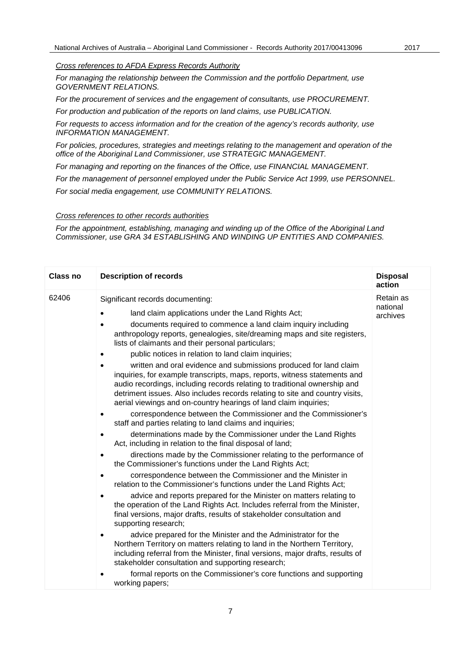*Cross references to AFDA Express Records Authority*

*For managing the relationship between the Commission and the portfolio Department, use GOVERNMENT RELATIONS.*

*For the procurement of services and the engagement of consultants, use PROCUREMENT.*

*For production and publication of the reports on land claims, use PUBLICATION.*

*For requests to access information and for the creation of the agency's records authority, use INFORMATION MANAGEMENT.*

*For policies, procedures, strategies and meetings relating to the management and operation of the office of the Aboriginal Land Commissioner, use STRATEGIC MANAGEMENT.*

*For managing and reporting on the finances of the Office, use FINANCIAL MANAGEMENT.*

*For the management of personnel employed under the Public Service Act 1999, use PERSONNEL.*

*For social media engagement, use COMMUNITY RELATIONS.*

*Cross references to other records authorities*

*For the appointment, establishing, managing and winding up of the Office of the Aboriginal Land Commissioner, use GRA 34 ESTABLISHING AND WINDING UP ENTITIES AND COMPANIES.*

| <b>Class no</b> | <b>Description of records</b>                                                                                                                                                                                                                                                                                                                                                                                                                                                                                                                                                                                                                                                                                                                                                                                                                                                                                                                                                                                                                                                                                                                                                                                                                                                                                                                                                                                                                                                                                                                                                                                                                                                                                                                                                                                                                                                                                             | <b>Disposal</b><br>action         |
|-----------------|---------------------------------------------------------------------------------------------------------------------------------------------------------------------------------------------------------------------------------------------------------------------------------------------------------------------------------------------------------------------------------------------------------------------------------------------------------------------------------------------------------------------------------------------------------------------------------------------------------------------------------------------------------------------------------------------------------------------------------------------------------------------------------------------------------------------------------------------------------------------------------------------------------------------------------------------------------------------------------------------------------------------------------------------------------------------------------------------------------------------------------------------------------------------------------------------------------------------------------------------------------------------------------------------------------------------------------------------------------------------------------------------------------------------------------------------------------------------------------------------------------------------------------------------------------------------------------------------------------------------------------------------------------------------------------------------------------------------------------------------------------------------------------------------------------------------------------------------------------------------------------------------------------------------------|-----------------------------------|
| 62406           | Significant records documenting:<br>land claim applications under the Land Rights Act;<br>documents required to commence a land claim inquiry including<br>anthropology reports, genealogies, site/dreaming maps and site registers,<br>lists of claimants and their personal particulars;<br>public notices in relation to land claim inquiries;<br>written and oral evidence and submissions produced for land claim<br>inquiries, for example transcripts, maps, reports, witness statements and<br>audio recordings, including records relating to traditional ownership and<br>detriment issues. Also includes records relating to site and country visits,<br>aerial viewings and on-country hearings of land claim inquiries;<br>correspondence between the Commissioner and the Commissioner's<br>staff and parties relating to land claims and inquiries;<br>determinations made by the Commissioner under the Land Rights<br>Act, including in relation to the final disposal of land;<br>directions made by the Commissioner relating to the performance of<br>$\bullet$<br>the Commissioner's functions under the Land Rights Act;<br>correspondence between the Commissioner and the Minister in<br>relation to the Commissioner's functions under the Land Rights Act;<br>advice and reports prepared for the Minister on matters relating to<br>the operation of the Land Rights Act. Includes referral from the Minister,<br>final versions, major drafts, results of stakeholder consultation and<br>supporting research;<br>advice prepared for the Minister and the Administrator for the<br>Northern Territory on matters relating to land in the Northern Territory,<br>including referral from the Minister, final versions, major drafts, results of<br>stakeholder consultation and supporting research;<br>formal reports on the Commissioner's core functions and supporting<br>working papers; | Retain as<br>national<br>archives |